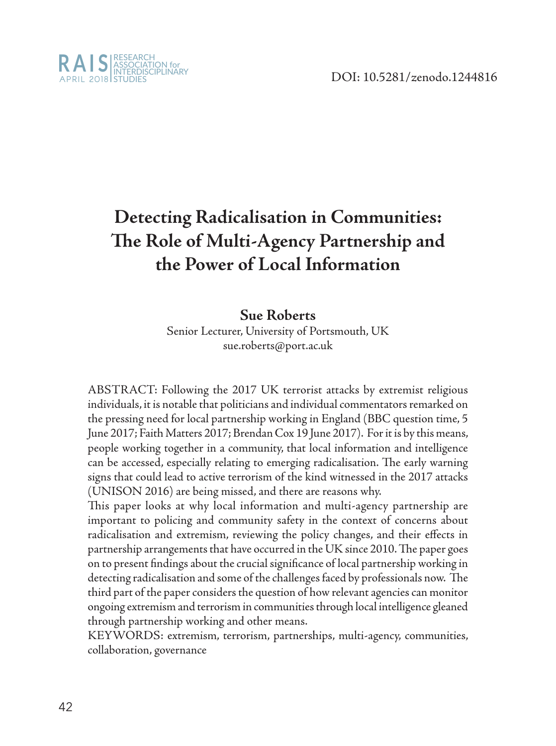

# **Detecting Radicalisation in Communities: The Role of Multi-Agency Partnership and the Power of Local Information**

#### **Sue Roberts**

Senior Lecturer, University of Portsmouth, UK sue.roberts@port.ac.uk

ABSTRACT: Following the 2017 UK terrorist attacks by extremist religious individuals, it is notable that politicians and individual commentators remarked on the pressing need for local partnership working in England (BBC question time, 5 June 2017; Faith Matters 2017; Brendan Cox 19 June 2017). For it is by this means, people working together in a community, that local information and intelligence can be accessed, especially relating to emerging radicalisation. The early warning signs that could lead to active terrorism of the kind witnessed in the 2017 attacks (UNISON 2016) are being missed, and there are reasons why.

This paper looks at why local information and multi-agency partnership are important to policing and community safety in the context of concerns about radicalisation and extremism, reviewing the policy changes, and their effects in partnership arrangements that have occurred in the UK since 2010. The paper goes on to present findings about the crucial significance of local partnership working in detecting radicalisation and some of the challenges faced by professionals now. The third part of the paper considers the question of how relevant agencies can monitor ongoing extremism and terrorism in communities through local intelligence gleaned through partnership working and other means.

KEYWORDS: extremism, terrorism, partnerships, multi-agency, communities, collaboration, governance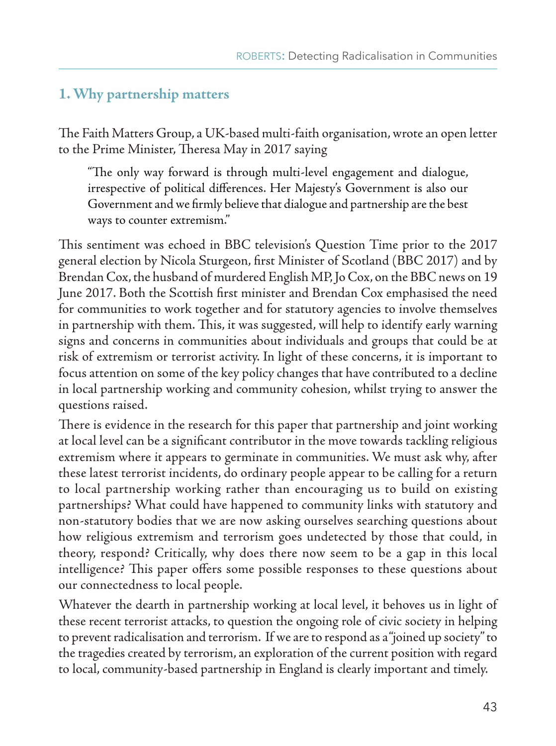## **1. Why partnership matters**

The Faith Matters Group, a UK-based multi-faith organisation, wrote an open letter to the Prime Minister, Theresa May in 2017 saying

"The only way forward is through multi-level engagement and dialogue, irrespective of political differences. Her Majesty's Government is also our Government and we firmly believe that dialogue and partnership are the best ways to counter extremism."

This sentiment was echoed in BBC television's Question Time prior to the 2017 general election by Nicola Sturgeon, first Minister of Scotland (BBC 2017) and by Brendan Cox, the husband of murdered English MP, Jo Cox, on the BBC news on 19 June 2017. Both the Scottish first minister and Brendan Cox emphasised the need for communities to work together and for statutory agencies to involve themselves in partnership with them. This, it was suggested, will help to identify early warning signs and concerns in communities about individuals and groups that could be at risk of extremism or terrorist activity. In light of these concerns, it is important to focus attention on some of the key policy changes that have contributed to a decline in local partnership working and community cohesion, whilst trying to answer the questions raised.

There is evidence in the research for this paper that partnership and joint working at local level can be a significant contributor in the move towards tackling religious extremism where it appears to germinate in communities. We must ask why, after these latest terrorist incidents, do ordinary people appear to be calling for a return to local partnership working rather than encouraging us to build on existing partnerships? What could have happened to community links with statutory and non-statutory bodies that we are now asking ourselves searching questions about how religious extremism and terrorism goes undetected by those that could, in theory, respond? Critically, why does there now seem to be a gap in this local intelligence? This paper offers some possible responses to these questions about our connectedness to local people.

Whatever the dearth in partnership working at local level, it behoves us in light of these recent terrorist attacks, to question the ongoing role of civic society in helping to prevent radicalisation and terrorism. If we are to respond as a "joined up society" to the tragedies created by terrorism, an exploration of the current position with regard to local, community-based partnership in England is clearly important and timely.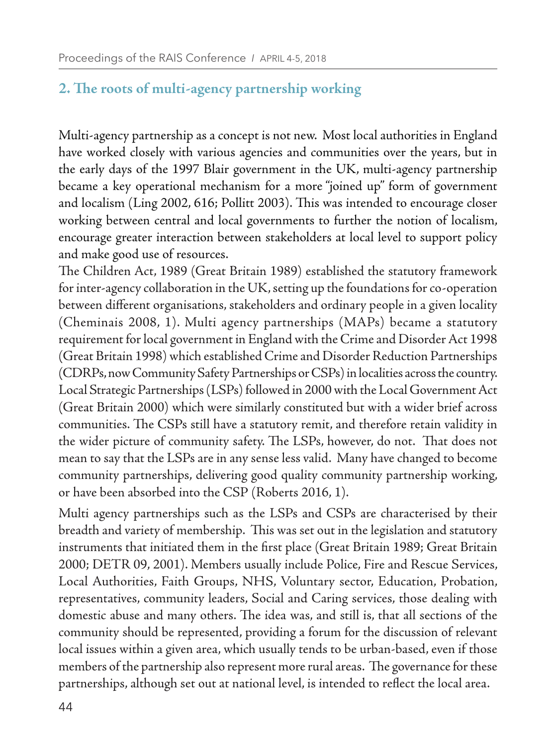## **2. The roots of multi-agency partnership working**

Multi-agency partnership as a concept is not new. Most local authorities in England have worked closely with various agencies and communities over the years, but in the early days of the 1997 Blair government in the UK, multi-agency partnership became a key operational mechanism for a more "joined up" form of government and localism (Ling 2002, 616; Pollitt 2003). This was intended to encourage closer working between central and local governments to further the notion of localism, encourage greater interaction between stakeholders at local level to support policy and make good use of resources.

The Children Act, 1989 (Great Britain 1989) established the statutory framework for inter-agency collaboration in the UK, setting up the foundations for co-operation between different organisations, stakeholders and ordinary people in a given locality (Cheminais 2008, 1). Multi agency partnerships (MAPs) became a statutory requirement for local government in England with the Crime and Disorder Act 1998 (Great Britain 1998) which established Crime and Disorder Reduction Partnerships (CDRPs, now Community Safety Partnerships or CSPs) in localities across the country. Local Strategic Partnerships (LSPs) followed in 2000 with the Local Government Act (Great Britain 2000) which were similarly constituted but with a wider brief across communities. The CSPs still have a statutory remit, and therefore retain validity in the wider picture of community safety. The LSPs, however, do not. That does not mean to say that the LSPs are in any sense less valid. Many have changed to become community partnerships, delivering good quality community partnership working, or have been absorbed into the CSP (Roberts 2016, 1).

Multi agency partnerships such as the LSPs and CSPs are characterised by their breadth and variety of membership. This was set out in the legislation and statutory instruments that initiated them in the first place (Great Britain 1989; Great Britain 2000; DETR 09, 2001). Members usually include Police, Fire and Rescue Services, Local Authorities, Faith Groups, NHS, Voluntary sector, Education, Probation, representatives, community leaders, Social and Caring services, those dealing with domestic abuse and many others. The idea was, and still is, that all sections of the community should be represented, providing a forum for the discussion of relevant local issues within a given area, which usually tends to be urban-based, even if those members of the partnership also represent more rural areas. The governance for these partnerships, although set out at national level, is intended to reflect the local area.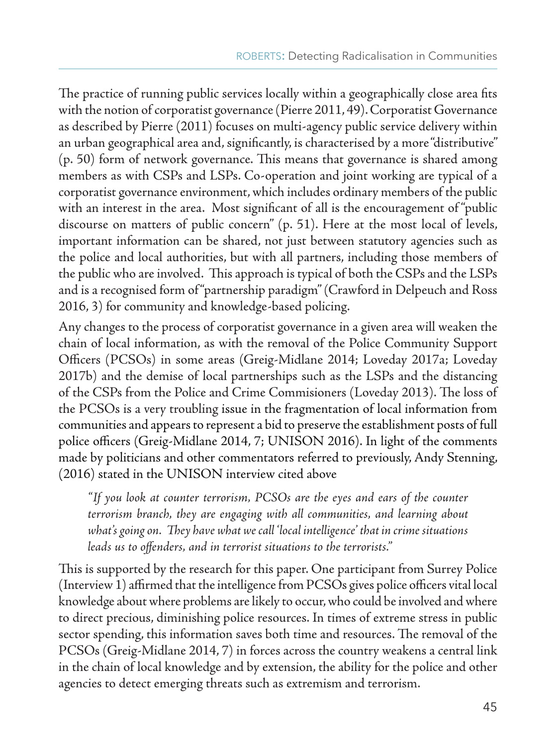The practice of running public services locally within a geographically close area fits with the notion of corporatist governance (Pierre 2011, 49). Corporatist Governance as described by Pierre (2011) focuses on multi-agency public service delivery within an urban geographical area and, significantly, is characterised by a more "distributive" (p. 50) form of network governance. This means that governance is shared among members as with CSPs and LSPs. Co-operation and joint working are typical of a corporatist governance environment, which includes ordinary members of the public with an interest in the area. Most significant of all is the encouragement of "public discourse on matters of public concern" (p. 51). Here at the most local of levels, important information can be shared, not just between statutory agencies such as the police and local authorities, but with all partners, including those members of the public who are involved. This approach is typical of both the CSPs and the LSPs and is a recognised form of "partnership paradigm" (Crawford in Delpeuch and Ross 2016, 3) for community and knowledge-based policing.

Any changes to the process of corporatist governance in a given area will weaken the chain of local information, as with the removal of the Police Community Support Officers (PCSOs) in some areas (Greig-Midlane 2014; Loveday 2017a; Loveday 2017b) and the demise of local partnerships such as the LSPs and the distancing of the CSPs from the Police and Crime Commisioners (Loveday 2013). The loss of the PCSOs is a very troubling issue in the fragmentation of local information from communities and appears to represent a bid to preserve the establishment posts of full police officers (Greig-Midlane 2014, 7; UNISON 2016). In light of the comments made by politicians and other commentators referred to previously, Andy Stenning, (2016) stated in the UNISON interview cited above

*"If you look at counter terrorism, PCSOs are the eyes and ears of the counter terrorism branch, they are engaging with all communities, and learning about what's going on. They have what we call 'local intelligence' that in crime situations leads us to offenders, and in terrorist situations to the terrorists."*

This is supported by the research for this paper. One participant from Surrey Police (Interview 1) affirmed that the intelligence from PCSOs gives police officers vital local knowledge about where problems are likely to occur, who could be involved and where to direct precious, diminishing police resources. In times of extreme stress in public sector spending, this information saves both time and resources. The removal of the PCSOs (Greig-Midlane 2014, 7) in forces across the country weakens a central link in the chain of local knowledge and by extension, the ability for the police and other agencies to detect emerging threats such as extremism and terrorism.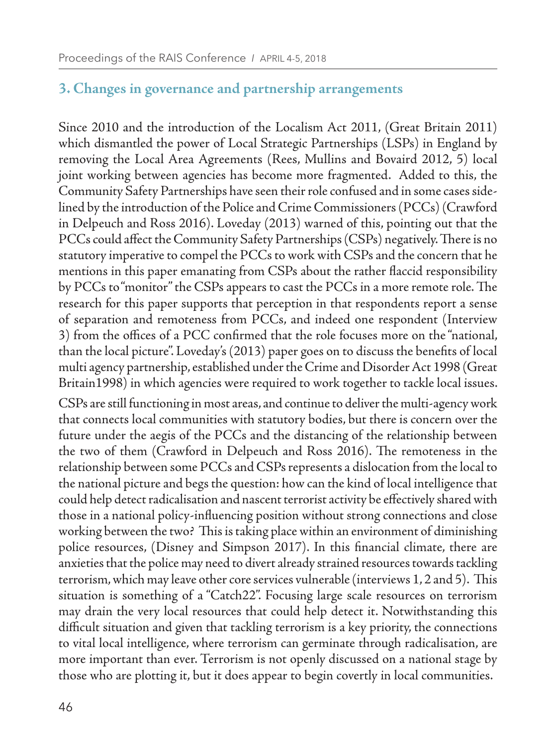#### **3. Changes in governance and partnership arrangements**

Since 2010 and the introduction of the Localism Act 2011, (Great Britain 2011) which dismantled the power of Local Strategic Partnerships (LSPs) in England by removing the Local Area Agreements (Rees, Mullins and Bovaird 2012, 5) local joint working between agencies has become more fragmented. Added to this, the Community Safety Partnerships have seen their role confused and in some cases sidelined by the introduction of the Police and Crime Commissioners (PCCs) (Crawford in Delpeuch and Ross 2016). Loveday (2013) warned of this, pointing out that the PCCs could affect the Community Safety Partnerships (CSPs) negatively. There is no statutory imperative to compel the PCCs to work with CSPs and the concern that he mentions in this paper emanating from CSPs about the rather flaccid responsibility by PCCs to "monitor" the CSPs appears to cast the PCCs in a more remote role. The research for this paper supports that perception in that respondents report a sense of separation and remoteness from PCCs, and indeed one respondent (Interview 3) from the offices of a PCC confirmed that the role focuses more on the "national, than the local picture". Loveday's (2013) paper goes on to discuss the benefits of local multi agency partnership, established under the Crime and Disorder Act 1998 (Great Britain1998) in which agencies were required to work together to tackle local issues.

CSPs are still functioning in most areas, and continue to deliver the multi-agency work that connects local communities with statutory bodies, but there is concern over the future under the aegis of the PCCs and the distancing of the relationship between the two of them (Crawford in Delpeuch and Ross 2016). The remoteness in the relationship between some PCCs and CSPs represents a dislocation from the local to the national picture and begs the question: how can the kind of local intelligence that could help detect radicalisation and nascent terrorist activity be effectively shared with those in a national policy-influencing position without strong connections and close working between the two? This is taking place within an environment of diminishing police resources, (Disney and Simpson 2017). In this financial climate, there are anxieties that the police may need to divert already strained resources towards tackling terrorism, which may leave other core services vulnerable (interviews 1, 2 and 5). This situation is something of a "Catch22". Focusing large scale resources on terrorism may drain the very local resources that could help detect it. Notwithstanding this difficult situation and given that tackling terrorism is a key priority, the connections to vital local intelligence, where terrorism can germinate through radicalisation, are more important than ever. Terrorism is not openly discussed on a national stage by those who are plotting it, but it does appear to begin covertly in local communities.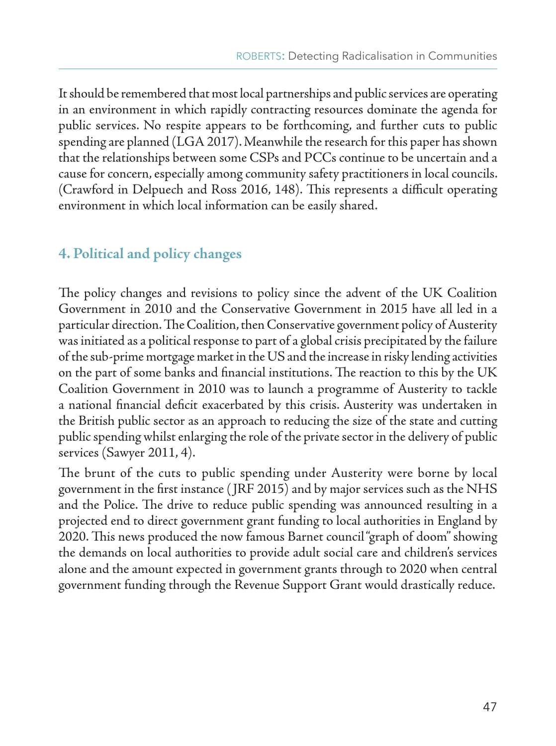It should be remembered that most local partnerships and public services are operating in an environment in which rapidly contracting resources dominate the agenda for public services. No respite appears to be forthcoming, and further cuts to public spending are planned (LGA 2017). Meanwhile the research for this paper has shown that the relationships between some CSPs and PCCs continue to be uncertain and a cause for concern, especially among community safety practitioners in local councils. (Crawford in Delpuech and Ross 2016, 148). This represents a difficult operating environment in which local information can be easily shared.

## **4. Political and policy changes**

The policy changes and revisions to policy since the advent of the UK Coalition Government in 2010 and the Conservative Government in 2015 have all led in a particular direction. The Coalition, then Conservative government policy of Austerity was initiated as a political response to part of a global crisis precipitated by the failure of the sub-prime mortgage market in the US and the increase in risky lending activities on the part of some banks and financial institutions. The reaction to this by the UK Coalition Government in 2010 was to launch a programme of Austerity to tackle a national financial deficit exacerbated by this crisis. Austerity was undertaken in the British public sector as an approach to reducing the size of the state and cutting public spending whilst enlarging the role of the private sector in the delivery of public services (Sawyer 2011, 4).

The brunt of the cuts to public spending under Austerity were borne by local government in the first instance ( JRF 2015) and by major services such as the NHS and the Police. The drive to reduce public spending was announced resulting in a projected end to direct government grant funding to local authorities in England by 2020. This news produced the now famous Barnet council "graph of doom" showing the demands on local authorities to provide adult social care and children's services alone and the amount expected in government grants through to 2020 when central government funding through the Revenue Support Grant would drastically reduce.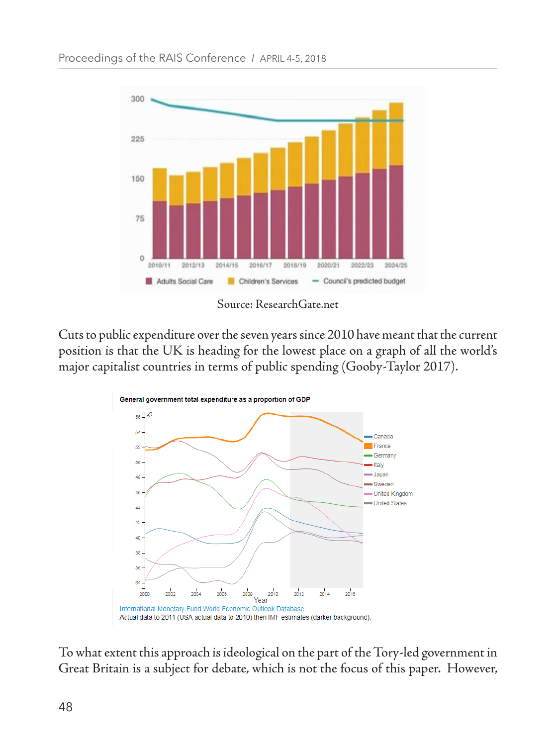

Source: ResearchGate.net

Cuts to public expenditure over the seven years since 2010 have meant that the current position is that the UK is heading for the lowest place on a graph of all the world's major capitalist countries in terms of public spending (Gooby-Taylor 2017).



To what extent this approach is ideological on the part of the Tory-led government in Great Britain is a subject for debate, which is not the focus of this paper. However,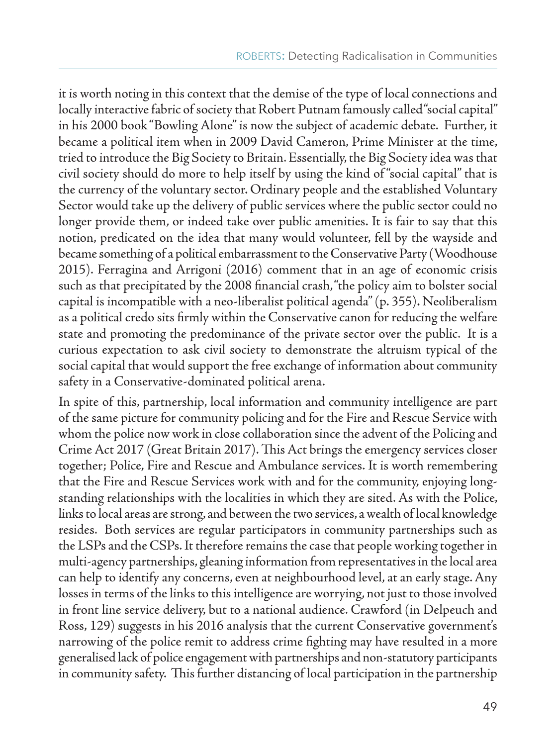it is worth noting in this context that the demise of the type of local connections and locally interactive fabric of society that Robert Putnam famously called "social capital" in his 2000 book "Bowling Alone" is now the subject of academic debate. Further, it became a political item when in 2009 David Cameron, Prime Minister at the time, tried to introduce the Big Society to Britain. Essentially, the Big Society idea was that civil society should do more to help itself by using the kind of "social capital" that is the currency of the voluntary sector. Ordinary people and the established Voluntary Sector would take up the delivery of public services where the public sector could no longer provide them, or indeed take over public amenities. It is fair to say that this notion, predicated on the idea that many would volunteer, fell by the wayside and became something of a political embarrassment to the Conservative Party (Woodhouse 2015). Ferragina and Arrigoni (2016) comment that in an age of economic crisis such as that precipitated by the 2008 financial crash, "the policy aim to bolster social capital is incompatible with a neo-liberalist political agenda" (p. 355). Neoliberalism as a political credo sits firmly within the Conservative canon for reducing the welfare state and promoting the predominance of the private sector over the public. It is a curious expectation to ask civil society to demonstrate the altruism typical of the social capital that would support the free exchange of information about community safety in a Conservative-dominated political arena.

In spite of this, partnership, local information and community intelligence are part of the same picture for community policing and for the Fire and Rescue Service with whom the police now work in close collaboration since the advent of the Policing and Crime Act 2017 (Great Britain 2017). This Act brings the emergency services closer together; Police, Fire and Rescue and Ambulance services. It is worth remembering that the Fire and Rescue Services work with and for the community, enjoying longstanding relationships with the localities in which they are sited. As with the Police, links to local areas are strong, and between the two services, a wealth of local knowledge resides. Both services are regular participators in community partnerships such as the LSPs and the CSPs. It therefore remains the case that people working together in multi-agency partnerships, gleaning information from representatives in the local area can help to identify any concerns, even at neighbourhood level, at an early stage. Any losses in terms of the links to this intelligence are worrying, not just to those involved in front line service delivery, but to a national audience. Crawford (in Delpeuch and Ross, 129) suggests in his 2016 analysis that the current Conservative government's narrowing of the police remit to address crime fighting may have resulted in a more generalised lack of police engagement with partnerships and non-statutory participants in community safety. This further distancing of local participation in the partnership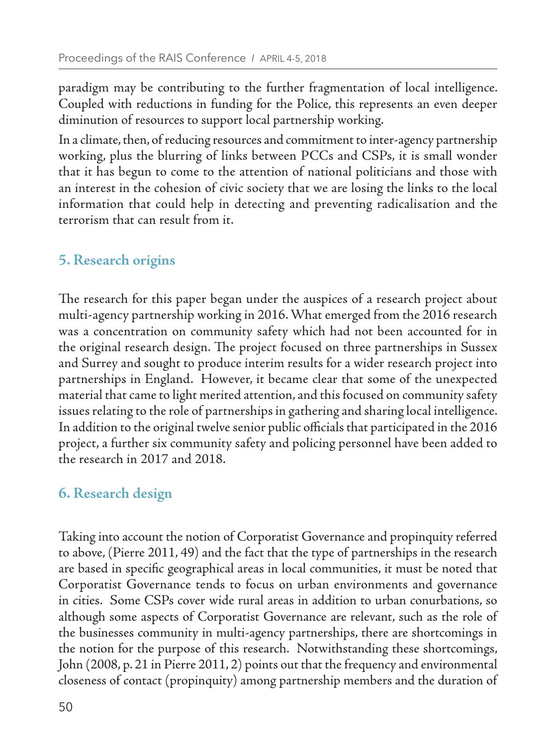paradigm may be contributing to the further fragmentation of local intelligence. Coupled with reductions in funding for the Police, this represents an even deeper diminution of resources to support local partnership working.

In a climate, then, of reducing resources and commitment to inter-agency partnership working, plus the blurring of links between PCCs and CSPs, it is small wonder that it has begun to come to the attention of national politicians and those with an interest in the cohesion of civic society that we are losing the links to the local information that could help in detecting and preventing radicalisation and the terrorism that can result from it.

## **5. Research origins**

The research for this paper began under the auspices of a research project about multi-agency partnership working in 2016. What emerged from the 2016 research was a concentration on community safety which had not been accounted for in the original research design. The project focused on three partnerships in Sussex and Surrey and sought to produce interim results for a wider research project into partnerships in England. However, it became clear that some of the unexpected material that came to light merited attention, and this focused on community safety issues relating to the role of partnerships in gathering and sharing local intelligence. In addition to the original twelve senior public officials that participated in the 2016 project, a further six community safety and policing personnel have been added to the research in 2017 and 2018.

## **6. Research design**

Taking into account the notion of Corporatist Governance and propinquity referred to above, (Pierre 2011, 49) and the fact that the type of partnerships in the research are based in specific geographical areas in local communities, it must be noted that Corporatist Governance tends to focus on urban environments and governance in cities. Some CSPs cover wide rural areas in addition to urban conurbations, so although some aspects of Corporatist Governance are relevant, such as the role of the businesses community in multi-agency partnerships, there are shortcomings in the notion for the purpose of this research. Notwithstanding these shortcomings, John (2008, p. 21 in Pierre 2011, 2) points out that the frequency and environmental closeness of contact (propinquity) among partnership members and the duration of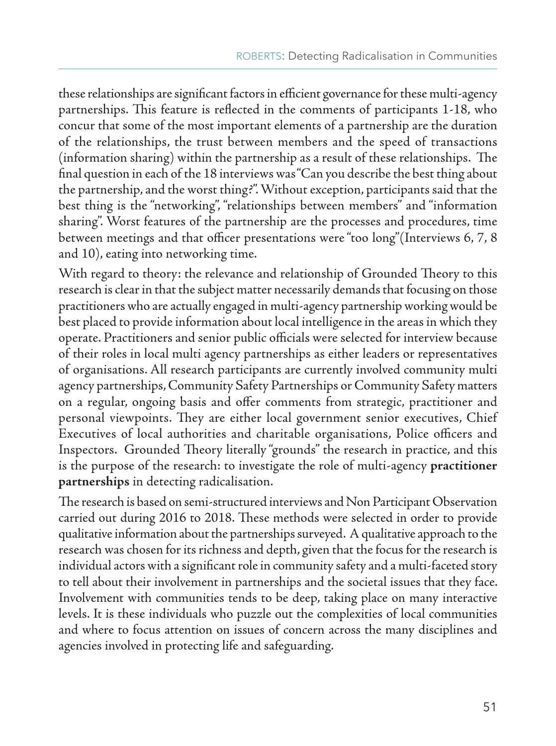these relationships are significant factors in efficient governance for these multi-agency partnerships. This feature is reflected in the comments of participants 1-18, who concur that some of the most important elements of a partnership are the duration of the relationships, the trust between members and the speed of transactions (information sharing) within the partnership as a result of these relationships. The final question in each of the 18 interviews was "Can you describe the best thing about the partnership, and the worst thing?". Without exception, participants said that the best thing is the "networking", "relationships between members" and "information sharing". Worst features of the partnership are the processes and procedures, time between meetings and that officer presentations were "too long"(Interviews 6, 7, 8 and 10), eating into networking time.

With regard to theory: the relevance and relationship of Grounded Theory to this research is clear in that the subject matter necessarily demands that focusing on those practitioners who are actually engaged in multi-agency partnership working would be best placed to provide information about local intelligence in the areas in which they operate. Practitioners and senior public officials were selected for interview because of their roles in local multi agency partnerships as either leaders or representatives of organisations. All research participants are currently involved community multi agency partnerships, Community Safety Partnerships or Community Safety matters on a regular, ongoing basis and offer comments from strategic, practitioner and personal viewpoints. They are either local government senior executives, Chief Executives of local authorities and charitable organisations, Police officers and Inspectors. Grounded Theory literally "grounds" the research in practice, and this is the purpose of the research: to investigate the role of multi-agency **practitioner partnerships** in detecting radicalisation.

The research is based on semi-structured interviews and Non Participant Observation carried out during 2016 to 2018. These methods were selected in order to provide qualitative information about the partnerships surveyed. A qualitative approach to the research was chosen for its richness and depth, given that the focus for the research is individual actors with a significant role in community safety and a multi-faceted story to tell about their involvement in partnerships and the societal issues that they face. Involvement with communities tends to be deep, taking place on many interactive levels. It is these individuals who puzzle out the complexities of local communities and where to focus attention on issues of concern across the many disciplines and agencies involved in protecting life and safeguarding.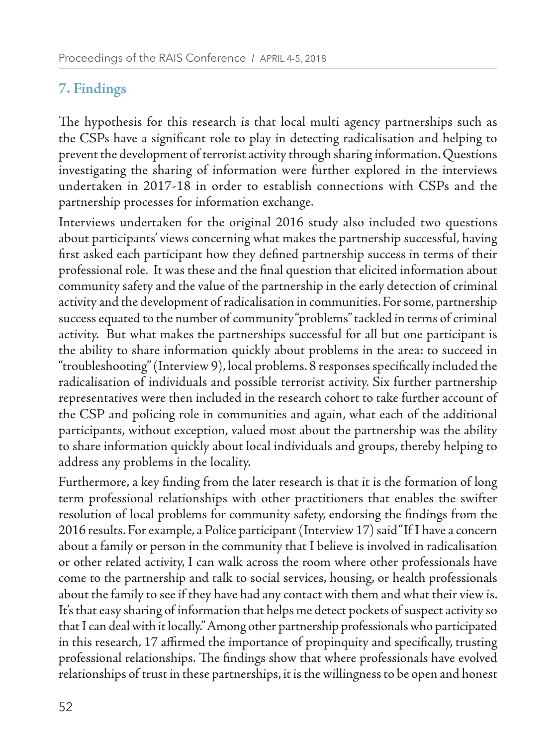## **7. Findings**

The hypothesis for this research is that local multi agency partnerships such as the CSPs have a significant role to play in detecting radicalisation and helping to prevent the development of terrorist activity through sharing information. Questions investigating the sharing of information were further explored in the interviews undertaken in 2017-18 in order to establish connections with CSPs and the partnership processes for information exchange.

Interviews undertaken for the original 2016 study also included two questions about participants' views concerning what makes the partnership successful, having first asked each participant how they defined partnership success in terms of their professional role. It was these and the final question that elicited information about community safety and the value of the partnership in the early detection of criminal activity and the development of radicalisation in communities. For some, partnership success equated to the number of community "problems" tackled in terms of criminal activity. But what makes the partnerships successful for all but one participant is the ability to share information quickly about problems in the area: to succeed in "troubleshooting" (Interview 9), local problems. 8 responses specifically included the radicalisation of individuals and possible terrorist activity. Six further partnership representatives were then included in the research cohort to take further account of the CSP and policing role in communities and again, what each of the additional participants, without exception, valued most about the partnership was the ability to share information quickly about local individuals and groups, thereby helping to address any problems in the locality.

Furthermore, a key finding from the later research is that it is the formation of long term professional relationships with other practitioners that enables the swifter resolution of local problems for community safety, endorsing the findings from the 2016 results. For example, a Police participant (Interview 17) said "If I have a concern about a family or person in the community that I believe is involved in radicalisation or other related activity, I can walk across the room where other professionals have come to the partnership and talk to social services, housing, or health professionals about the family to see if they have had any contact with them and what their view is. It's that easy sharing of information that helps me detect pockets of suspect activity so that I can deal with it locally." Among other partnership professionals who participated in this research, 17 affirmed the importance of propinquity and specifically, trusting professional relationships. The findings show that where professionals have evolved relationships of trust in these partnerships, it is the willingness to be open and honest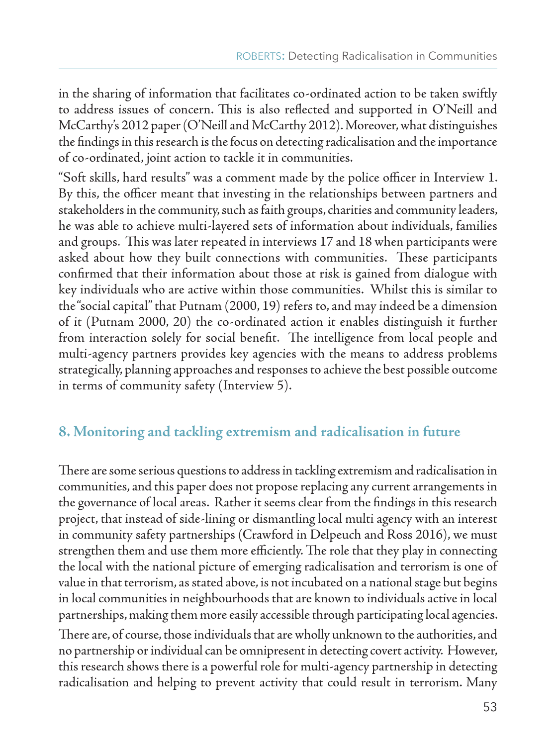in the sharing of information that facilitates co-ordinated action to be taken swiftly to address issues of concern. This is also reflected and supported in O'Neill and McCarthy's 2012 paper (O'Neill and McCarthy 2012). Moreover, what distinguishes the findings in this research is the focus on detecting radicalisation and the importance of co-ordinated, joint action to tackle it in communities.

"Soft skills, hard results" was a comment made by the police officer in Interview 1. By this, the officer meant that investing in the relationships between partners and stakeholders in the community, such as faith groups, charities and community leaders, he was able to achieve multi-layered sets of information about individuals, families and groups. This was later repeated in interviews 17 and 18 when participants were asked about how they built connections with communities. These participants confirmed that their information about those at risk is gained from dialogue with key individuals who are active within those communities. Whilst this is similar to the "social capital" that Putnam (2000, 19) refers to, and may indeed be a dimension of it (Putnam 2000, 20) the co-ordinated action it enables distinguish it further from interaction solely for social benefit. The intelligence from local people and multi-agency partners provides key agencies with the means to address problems strategically, planning approaches and responses to achieve the best possible outcome in terms of community safety (Interview 5).

#### **8. Monitoring and tackling extremism and radicalisation in future**

There are some serious questions to address in tackling extremism and radicalisation in communities, and this paper does not propose replacing any current arrangements in the governance of local areas. Rather it seems clear from the findings in this research project, that instead of side-lining or dismantling local multi agency with an interest in community safety partnerships (Crawford in Delpeuch and Ross 2016), we must strengthen them and use them more efficiently. The role that they play in connecting the local with the national picture of emerging radicalisation and terrorism is one of value in that terrorism, as stated above, is not incubated on a national stage but begins in local communities in neighbourhoods that are known to individuals active in local partnerships, making them more easily accessible through participating local agencies. There are, of course, those individuals that are wholly unknown to the authorities, and no partnership or individual can be omnipresent in detecting covert activity. However, this research shows there is a powerful role for multi-agency partnership in detecting radicalisation and helping to prevent activity that could result in terrorism. Many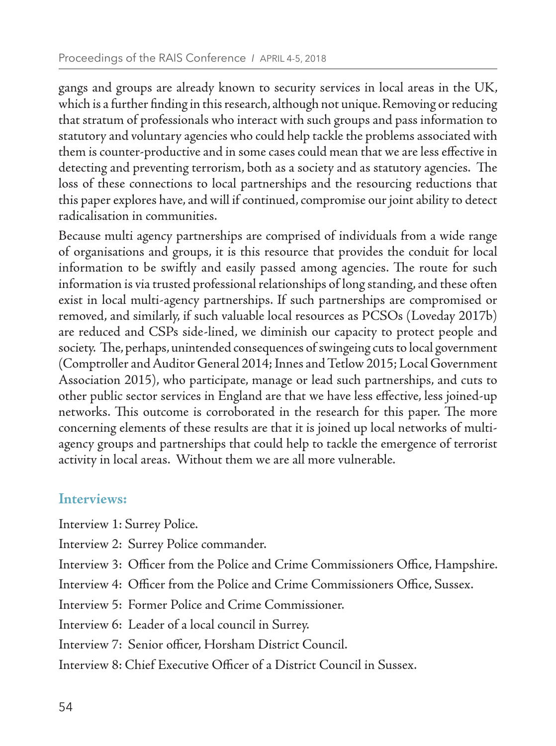gangs and groups are already known to security services in local areas in the UK, which is a further finding in this research, although not unique. Removing or reducing that stratum of professionals who interact with such groups and pass information to statutory and voluntary agencies who could help tackle the problems associated with them is counter-productive and in some cases could mean that we are less effective in detecting and preventing terrorism, both as a society and as statutory agencies. The loss of these connections to local partnerships and the resourcing reductions that this paper explores have, and will if continued, compromise our joint ability to detect radicalisation in communities.

Because multi agency partnerships are comprised of individuals from a wide range of organisations and groups, it is this resource that provides the conduit for local information to be swiftly and easily passed among agencies. The route for such information is via trusted professional relationships of long standing, and these often exist in local multi-agency partnerships. If such partnerships are compromised or removed, and similarly, if such valuable local resources as PCSOs (Loveday 2017b) are reduced and CSPs side-lined, we diminish our capacity to protect people and society. The, perhaps, unintended consequences of swingeing cuts to local government (Comptroller and Auditor General 2014; Innes and Tetlow 2015; Local Government Association 2015), who participate, manage or lead such partnerships, and cuts to other public sector services in England are that we have less effective, less joined-up networks. This outcome is corroborated in the research for this paper. The more concerning elements of these results are that it is joined up local networks of multiagency groups and partnerships that could help to tackle the emergence of terrorist activity in local areas. Without them we are all more vulnerable.

## **Interviews:**

Interview 1: Surrey Police.

- Interview 2: Surrey Police commander.
- Interview 3: Officer from the Police and Crime Commissioners Office, Hampshire.
- Interview 4: Officer from the Police and Crime Commissioners Office, Sussex.
- Interview 5: Former Police and Crime Commissioner.
- Interview 6: Leader of a local council in Surrey.
- Interview 7: Senior officer, Horsham District Council.
- Interview 8: Chief Executive Officer of a District Council in Sussex.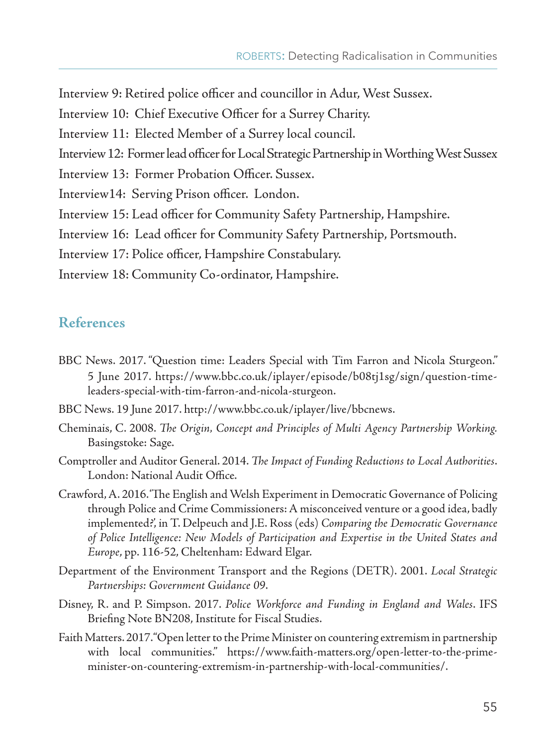Interview 9: Retired police officer and councillor in Adur, West Sussex.

- Interview 10: Chief Executive Officer for a Surrey Charity.
- Interview 11: Elected Member of a Surrey local council.
- Interview 12: Former lead officer for Local Strategic Partnership in Worthing West Sussex
- Interview 13: Former Probation Officer. Sussex.
- Interview14: Serving Prison officer. London.
- Interview 15: Lead officer for Community Safety Partnership, Hampshire.

Interview 16: Lead officer for Community Safety Partnership, Portsmouth.

Interview 17: Police officer, Hampshire Constabulary.

Interview 18: Community Co-ordinator, Hampshire.

#### **References**

- BBC News. 2017. "Question time: Leaders Special with Tim Farron and Nicola Sturgeon." 5 June 2017. https://www.bbc.co.uk/iplayer/episode/b08tj1sg/sign/question-timeleaders-special-with-tim-farron-and-nicola-sturgeon.
- BBC News. 19 June 2017. http://www.bbc.co.uk/iplayer/live/bbcnews.
- Cheminais, C. 2008. *The Origin, Concept and Principles of Multi Agency Partnership Working.*  Basingstoke: Sage.
- Comptroller and Auditor General. 2014. *The Impact of Funding Reductions to Local Authorities*. London: National Audit Office.
- Crawford, A. 2016. 'The English and Welsh Experiment in Democratic Governance of Policing through Police and Crime Commissioners: A misconceived venture or a good idea, badly implemented?', in T. Delpeuch and J.E. Ross (eds) *Comparing the Democratic Governance of Police Intelligence: New Models of Participation and Expertise in the United States and Europe*, pp. 116-52, Cheltenham: Edward Elgar.
- Department of the Environment Transport and the Regions (DETR). 2001. *Local Strategic Partnerships: Government Guidance 09*.
- Disney, R. and P. Simpson. 2017. *Police Workforce and Funding in England and Wales*. IFS Briefing Note BN208, Institute for Fiscal Studies.
- Faith Matters. 2017. "Open letter to the Prime Minister on countering extremism in partnership with local communities." https://www.faith-matters.org/open-letter-to-the-primeminister-on-countering-extremism-in-partnership-with-local-communities/.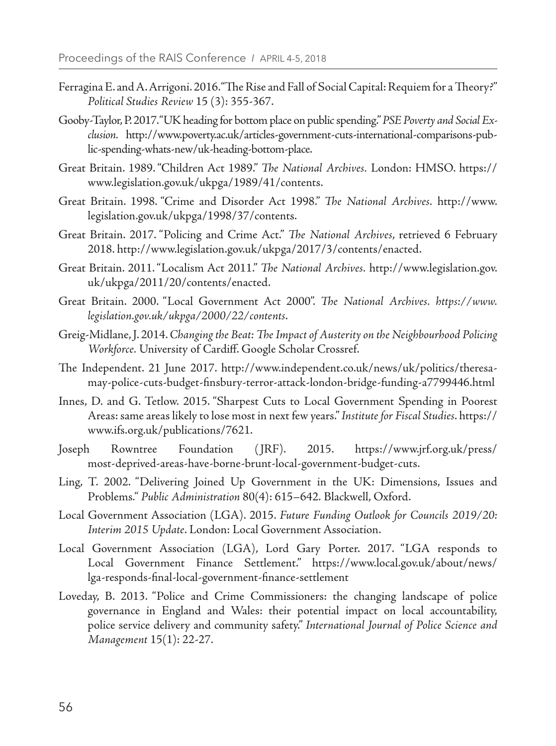- Ferragina E. and A. Arrigoni. 2016. "The Rise and Fall of Social Capital: Requiem for a Theory?" *Political Studies Review* 15 (3): 355-367.
- Gooby-Taylor, P. 2017. "UK heading for bottom place on public spending." *PSE Poverty and Social Exclusion.* http://www.poverty.ac.uk/articles-government-cuts-international-comparisons-public-spending-whats-new/uk-heading-bottom-place.
- Great Britain. 1989. "Children Act 1989." *The National Archives.* London: HMSO. https:// www.legislation.gov.uk/ukpga/1989/41/contents.
- Great Britain. 1998. "Crime and Disorder Act 1998." *The National Archives.* http://www. legislation.gov.uk/ukpga/1998/37/contents.
- Great Britain. 2017. "Policing and Crime Act." *The National Archives*, retrieved 6 February 2018. http://www.legislation.gov.uk/ukpga/2017/3/contents/enacted.
- Great Britain. 2011. "Localism Act 2011." *The National Archives.* http://www.legislation.gov. uk/ukpga/2011/20/contents/enacted.
- Great Britain. 2000. "Local Government Act 2000". *The National Archives. https://www. legislation.gov.uk/ukpga/2000/22/contents*.
- Greig-Midlane, J. 2014. *Changing the Beat: The Impact of Austerity on the Neighbourhood Policing Workforce.* University of Cardiff. Google Scholar Crossref.
- The Independent. 21 June 2017. http://www.independent.co.uk/news/uk/politics/theresamay-police-cuts-budget-finsbury-terror-attack-london-bridge-funding-a7799446.html
- Innes, D. and G. Tetlow. 2015. "Sharpest Cuts to Local Government Spending in Poorest Areas: same areas likely to lose most in next few years." *Institute for Fiscal Studies*. https:// www.ifs.org.uk/publications/7621.
- Joseph Rowntree Foundation ( JRF). 2015. https://www.jrf.org.uk/press/ most-deprived-areas-have-borne-brunt-local-government-budget-cuts.
- Ling, T. 2002. "Delivering Joined Up Government in the UK: Dimensions, Issues and Problems*." Public Administration* 80(4): 615–642. Blackwell, Oxford.
- Local Government Association (LGA). 2015. *Future Funding Outlook for Councils 2019/20: Interim 2015 Update*. London: Local Government Association.
- Local Government Association (LGA), Lord Gary Porter. 2017. "LGA responds to Local Government Finance Settlement." https://www.local.gov.uk/about/news/ lga-responds-final-local-government-finance-settlement
- Loveday, B. 2013. "Police and Crime Commissioners: the changing landscape of police governance in England and Wales: their potential impact on local accountability, police service delivery and community safety." *International Journal of Police Science and Management* 15(1): 22-27.